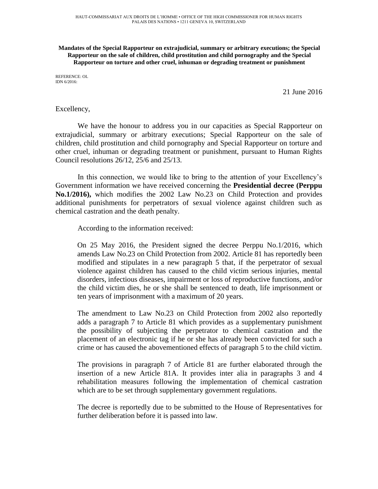**Mandates of the Special Rapporteur on extrajudicial, summary or arbitrary executions; the Special Rapporteur on the sale of children, child prostitution and child pornography and the Special Rapporteur on torture and other cruel, inhuman or degrading treatment or punishment**

REFERENCE: OL IDN 6/2016:

21 June 2016

## Excellency,

We have the honour to address you in our capacities as Special Rapporteur on extrajudicial, summary or arbitrary executions; Special Rapporteur on the sale of children, child prostitution and child pornography and Special Rapporteur on torture and other cruel, inhuman or degrading treatment or punishment, pursuant to Human Rights Council resolutions 26/12, 25/6 and 25/13.

In this connection, we would like to bring to the attention of your Excellency's Government information we have received concerning the **Presidential decree (Perppu No.1/2016),** which modifies the 2002 Law No.23 on Child Protection and provides additional punishments for perpetrators of sexual violence against children such as chemical castration and the death penalty.

According to the information received:

On 25 May 2016, the President signed the decree Perppu No.1/2016, which amends Law No.23 on Child Protection from 2002. Article 81 has reportedly been modified and stipulates in a new paragraph 5 that, if the perpetrator of sexual violence against children has caused to the child victim serious injuries, mental disorders, infectious diseases, impairment or loss of reproductive functions, and/or the child victim dies, he or she shall be sentenced to death, life imprisonment or ten years of imprisonment with a maximum of 20 years.

The amendment to Law No.23 on Child Protection from 2002 also reportedly adds a paragraph 7 to Article 81 which provides as a supplementary punishment the possibility of subjecting the perpetrator to chemical castration and the placement of an electronic tag if he or she has already been convicted for such a crime or has caused the abovementioned effects of paragraph 5 to the child victim.

The provisions in paragraph 7 of Article 81 are further elaborated through the insertion of a new Article 81A. It provides inter alia in paragraphs 3 and 4 rehabilitation measures following the implementation of chemical castration which are to be set through supplementary government regulations.

The decree is reportedly due to be submitted to the House of Representatives for further deliberation before it is passed into law.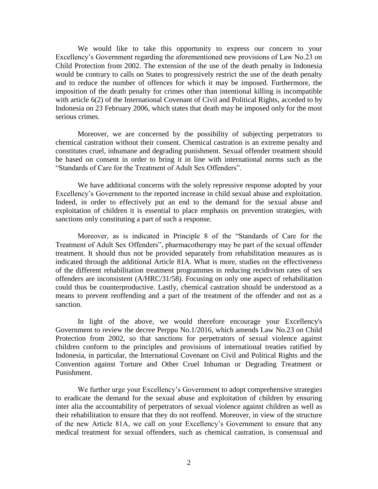We would like to take this opportunity to express our concern to your Excellency's Government regarding the aforementioned new provisions of Law No.23 on Child Protection from 2002. The extension of the use of the death penalty in Indonesia would be contrary to calls on States to progressively restrict the use of the death penalty and to reduce the number of offences for which it may be imposed. Furthermore, the imposition of the death penalty for crimes other than intentional killing is incompatible with article 6(2) of the International Covenant of Civil and Political Rights, acceded to by Indonesia on 23 February 2006, which states that death may be imposed only for the most serious crimes.

Moreover, we are concerned by the possibility of subjecting perpetrators to chemical castration without their consent. Chemical castration is an extreme penalty and constitutes cruel, inhumane and degrading punishment. Sexual offender treatment should be based on consent in order to bring it in line with international norms such as the "Standards of Care for the Treatment of Adult Sex Offenders".

We have additional concerns with the solely repressive response adopted by your Excellency's Government to the reported increase in child sexual abuse and exploitation. Indeed, in order to effectively put an end to the demand for the sexual abuse and exploitation of children it is essential to place emphasis on prevention strategies, with sanctions only constituting a part of such a response.

Moreover, as is indicated in Principle 8 of the "Standards of Care for the Treatment of Adult Sex Offenders", pharmacotherapy may be part of the sexual offender treatment. It should thus not be provided separately from rehabilitation measures as is indicated through the additional Article 81A. What is more, studies on the effectiveness of the different rehabilitation treatment programmes in reducing recidivism rates of sex offenders are inconsistent (A/HRC/31/58). Focusing on only one aspect of rehabilitation could thus be counterproductive. Lastly, chemical castration should be understood as a means to prevent reoffending and a part of the treatment of the offender and not as a sanction.

In light of the above, we would therefore encourage your Excellency's Government to review the decree Perppu No.1/2016, which amends Law No.23 on Child Protection from 2002, so that sanctions for perpetrators of sexual violence against children conform to the principles and provisions of international treaties ratified by Indonesia, in particular, the International Covenant on Civil and Political Rights and the Convention against Torture and Other Cruel Inhuman or Degrading Treatment or Punishment.

We further urge your Excellency's Government to adopt comprehensive strategies to eradicate the demand for the sexual abuse and exploitation of children by ensuring inter alia the accountability of perpetrators of sexual violence against children as well as their rehabilitation to ensure that they do not reoffend. Moreover, in view of the structure of the new Article 81A, we call on your Excellency's Government to ensure that any medical treatment for sexual offenders, such as chemical castration, is consensual and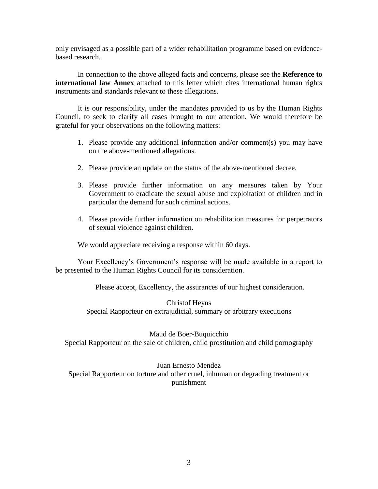only envisaged as a possible part of a wider rehabilitation programme based on evidencebased research.

In connection to the above alleged facts and concerns, please see the **Reference to international law Annex** attached to this letter which cites international human rights instruments and standards relevant to these allegations.

It is our responsibility, under the mandates provided to us by the Human Rights Council, to seek to clarify all cases brought to our attention. We would therefore be grateful for your observations on the following matters:

- 1. Please provide any additional information and/or comment(s) you may have on the above-mentioned allegations.
- 2. Please provide an update on the status of the above-mentioned decree.
- 3. Please provide further information on any measures taken by Your Government to eradicate the sexual abuse and exploitation of children and in particular the demand for such criminal actions.
- 4. Please provide further information on rehabilitation measures for perpetrators of sexual violence against children.

We would appreciate receiving a response within 60 days.

Your Excellency's Government's response will be made available in a report to be presented to the Human Rights Council for its consideration.

Please accept, Excellency, the assurances of our highest consideration.

Christof Heyns Special Rapporteur on extrajudicial, summary or arbitrary executions

Maud de Boer-Buquicchio Special Rapporteur on the sale of children, child prostitution and child pornography

Juan Ernesto Mendez Special Rapporteur on torture and other cruel, inhuman or degrading treatment or punishment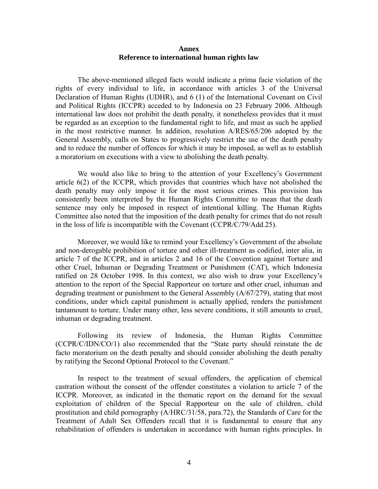## **Annex Reference to international human rights law**

The above-mentioned alleged facts would indicate a prima facie violation of the rights of every individual to life, in accordance with articles 3 of the Universal Declaration of Human Rights (UDHR), and 6 (1) of the International Covenant on Civil and Political Rights (ICCPR) acceded to by Indonesia on 23 February 2006. Although international law does not prohibit the death penalty, it nonetheless provides that it must be regarded as an exception to the fundamental right to life, and must as such be applied in the most restrictive manner. In addition, resolution A/RES/65/206 adopted by the General Assembly, calls on States to progressively restrict the use of the death penalty and to reduce the number of offences for which it may be imposed, as well as to establish a moratorium on executions with a view to abolishing the death penalty.

We would also like to bring to the attention of your Excellency's Government article 6(2) of the ICCPR, which provides that countries which have not abolished the death penalty may only impose it for the most serious crimes. This provision has consistently been interpreted by the Human Rights Committee to mean that the death sentence may only be imposed in respect of intentional killing. The Human Rights Committee also noted that the imposition of the death penalty for crimes that do not result in the loss of life is incompatible with the Covenant (CCPR/C/79/Add.25).

Moreover, we would like to remind your Excellency's Government of the absolute and non-derogable prohibition of torture and other ill-treatment as codified, inter alia, in article 7 of the ICCPR, and in articles 2 and 16 of the Convention against Torture and other Cruel, Inhuman or Degrading Treatment or Punishment (CAT), which Indonesia ratified on 28 October 1998. In this context, we also wish to draw your Excellency's attention to the report of the Special Rapporteur on torture and other cruel, inhuman and degrading treatment or punishment to the General Assembly (A/67/279), stating that most conditions, under which capital punishment is actually applied, renders the punishment tantamount to torture. Under many other, less severe conditions, it still amounts to cruel, inhuman or degrading treatment.

Following its review of Indonesia, the Human Rights Committee (CCPR/C/IDN/CO/1) also recommended that the "State party should reinstate the de facto moratorium on the death penalty and should consider abolishing the death penalty by ratifying the Second Optional Protocol to the Covenant."

In respect to the treatment of sexual offenders, the application of chemical castration without the consent of the offender constitutes a violation to article 7 of the ICCPR. Moreover, as indicated in the thematic report on the demand for the sexual exploitation of children of the Special Rapporteur on the sale of children, child prostitution and child pornography (A/HRC/31/58, para.72), the Standards of Care for the Treatment of Adult Sex Offenders recall that it is fundamental to ensure that any rehabilitation of offenders is undertaken in accordance with human rights principles. In